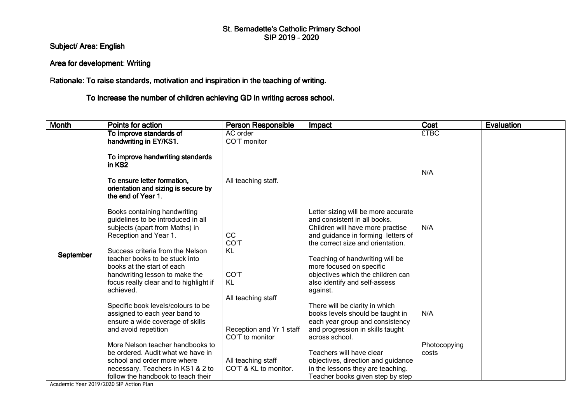## St. Bernadette's Catholic Primary School<br>SIP 2019 - 2020

Subject/ Area: English

## Area for development: Writing

Rationale: To raise standards, motivation and inspiration in the teaching of writing.

To increase the number of children achieving GD in writing across school.

| <b>Month</b> | Points for action                                                                                                                                                                                                                                                                                                          | <b>Person Responsible</b>                                   | Impact                                                                                                                                                                                                                                                                                                                              | Cost                  | <b>Evaluation</b> |
|--------------|----------------------------------------------------------------------------------------------------------------------------------------------------------------------------------------------------------------------------------------------------------------------------------------------------------------------------|-------------------------------------------------------------|-------------------------------------------------------------------------------------------------------------------------------------------------------------------------------------------------------------------------------------------------------------------------------------------------------------------------------------|-----------------------|-------------------|
|              | To improve standards of<br>handwriting in EY/KS1.                                                                                                                                                                                                                                                                          | AC order<br>CO'T monitor                                    |                                                                                                                                                                                                                                                                                                                                     | <b>£TBC</b>           |                   |
|              | To improve handwriting standards<br>in KS <sub>2</sub><br>To ensure letter formation,<br>orientation and sizing is secure by<br>the end of Year 1.                                                                                                                                                                         | All teaching staff.                                         |                                                                                                                                                                                                                                                                                                                                     | N/A                   |                   |
| September    | Books containing handwriting<br>guidelines to be introduced in all<br>subjects (apart from Maths) in<br>Reception and Year 1.<br>Success criteria from the Nelson<br>teacher books to be stuck into<br>books at the start of each<br>handwriting lesson to make the<br>focus really clear and to highlight if<br>achieved. | <b>CC</b><br>CO'T<br>KL<br>CO'T<br>KL<br>All teaching staff | Letter sizing will be more accurate<br>and consistent in all books.<br>Children will have more practise<br>and guidance in forming letters of<br>the correct size and orientation.<br>Teaching of handwriting will be<br>more focused on specific<br>objectives which the children can<br>also identify and self-assess<br>against. | N/A                   |                   |
|              | Specific book levels/colours to be<br>assigned to each year band to<br>ensure a wide coverage of skills<br>and avoid repetition                                                                                                                                                                                            | Reception and Yr 1 staff<br>CO'T to monitor                 | There will be clarity in which<br>books levels should be taught in<br>each year group and consistency<br>and progression in skills taught<br>across school.                                                                                                                                                                         | N/A                   |                   |
|              | More Nelson teacher handbooks to<br>be ordered. Audit what we have in<br>school and order more where<br>necessary. Teachers in KS1 & 2 to<br>follow the handbook to teach their                                                                                                                                            | All teaching staff<br>CO'T & KL to monitor.                 | Teachers will have clear<br>objectives, direction and guidance<br>in the lessons they are teaching.<br>Teacher books given step by step                                                                                                                                                                                             | Photocopying<br>costs |                   |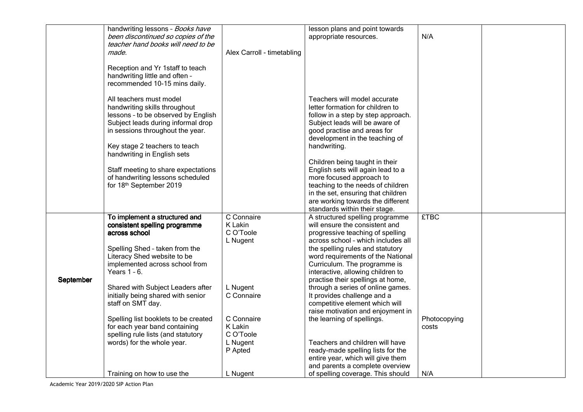|           | handwriting lessons - Books have<br>been discontinued so copies of the<br>teacher hand books will need to be                                                                                                                              |                                                | lesson plans and point towards<br>appropriate resources.                                                                                                                                                                                                                                  | N/A                   |  |
|-----------|-------------------------------------------------------------------------------------------------------------------------------------------------------------------------------------------------------------------------------------------|------------------------------------------------|-------------------------------------------------------------------------------------------------------------------------------------------------------------------------------------------------------------------------------------------------------------------------------------------|-----------------------|--|
|           | made.                                                                                                                                                                                                                                     | Alex Carroll - timetabling                     |                                                                                                                                                                                                                                                                                           |                       |  |
|           | Reception and Yr 1staff to teach<br>handwriting little and often -<br>recommended 10-15 mins daily.                                                                                                                                       |                                                |                                                                                                                                                                                                                                                                                           |                       |  |
|           | All teachers must model<br>handwriting skills throughout<br>lessons - to be observed by English<br>Subject leads during informal drop<br>in sessions throughout the year.<br>Key stage 2 teachers to teach<br>handwriting in English sets |                                                | Teachers will model accurate<br>letter formation for children to<br>follow in a step by step approach.<br>Subject leads will be aware of<br>good practise and areas for<br>development in the teaching of<br>handwriting.                                                                 |                       |  |
|           | Staff meeting to share expectations<br>of handwriting lessons scheduled<br>for 18th September 2019                                                                                                                                        |                                                | Children being taught in their<br>English sets will again lead to a<br>more focused approach to<br>teaching to the needs of children<br>in the set, ensuring that children<br>are working towards the different<br>standards within their stage.                                          |                       |  |
|           | To implement a structured and<br>consistent spelling programme<br>across school<br>Spelling Shed - taken from the<br>Literacy Shed website to be<br>implemented across school from<br>Years 1 - 6.                                        | C Connaire<br>K Lakin<br>C O'Toole<br>L Nugent | A structured spelling programme<br>will ensure the consistent and<br>progressive teaching of spelling<br>across school - which includes all<br>the spelling rules and statutory<br>word requirements of the National<br>Curriculum. The programme is<br>interactive, allowing children to | <b>£TBC</b>           |  |
| September | Shared with Subject Leaders after<br>initially being shared with senior<br>staff on SMT day.                                                                                                                                              | L Nugent<br>C Connaire                         | practise their spellings at home,<br>through a series of online games.<br>It provides challenge and a<br>competitive element which will<br>raise motivation and enjoyment in                                                                                                              |                       |  |
|           | Spelling list booklets to be created<br>for each year band containing<br>spelling rule lists (and statutory<br>words) for the whole year.                                                                                                 | C Connaire<br>K Lakin<br>C O'Toole<br>L Nugent | the learning of spellings.<br>Teachers and children will have                                                                                                                                                                                                                             | Photocopying<br>costs |  |
|           | Training on how to use the                                                                                                                                                                                                                | P Apted<br>L Nugent                            | ready-made spelling lists for the<br>entire year, which will give them<br>and parents a complete overview<br>of spelling coverage. This should                                                                                                                                            | N/A                   |  |
|           |                                                                                                                                                                                                                                           |                                                |                                                                                                                                                                                                                                                                                           |                       |  |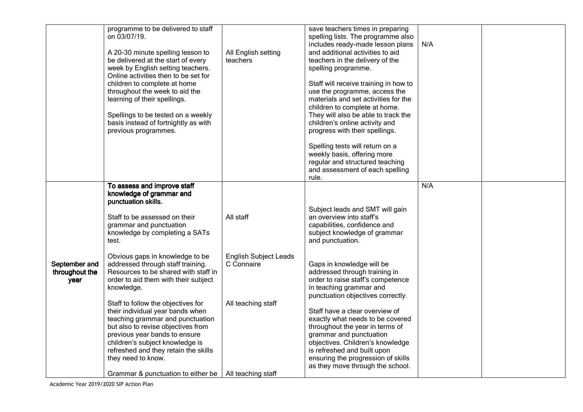|                                         | programme to be delivered to staff<br>on 03/07/19.<br>A 20-30 minute spelling lesson to<br>be delivered at the start of every<br>week by English setting teachers.<br>Online activities then to be set for<br>children to complete at home<br>throughout the week to aid the<br>learning of their spellings.<br>Spellings to be tested on a weekly<br>basis instead of fortnightly as with<br>previous programmes. | All English setting<br>teachers            | save teachers times in preparing<br>spelling lists. The programme also<br>includes ready-made lesson plans<br>and additional activities to aid<br>teachers in the delivery of the<br>spelling programme.<br>Staff will receive training in how to<br>use the programme, access the<br>materials and set activities for the<br>children to complete at home.<br>They will also be able to track the<br>children's online activity and<br>progress with their spellings.<br>Spelling tests will return on a<br>weekly basis, offering more<br>regular and structured teaching<br>and assessment of each spelling<br>rule. | N/A |  |
|-----------------------------------------|--------------------------------------------------------------------------------------------------------------------------------------------------------------------------------------------------------------------------------------------------------------------------------------------------------------------------------------------------------------------------------------------------------------------|--------------------------------------------|-------------------------------------------------------------------------------------------------------------------------------------------------------------------------------------------------------------------------------------------------------------------------------------------------------------------------------------------------------------------------------------------------------------------------------------------------------------------------------------------------------------------------------------------------------------------------------------------------------------------------|-----|--|
|                                         | To assess and improve staff<br>knowledge of grammar and<br>punctuation skills.<br>Staff to be assessed on their<br>grammar and punctuation<br>knowledge by completing a SATs                                                                                                                                                                                                                                       | All staff                                  | Subject leads and SMT will gain<br>an overview into staff's<br>capabilities, confidence and<br>subject knowledge of grammar                                                                                                                                                                                                                                                                                                                                                                                                                                                                                             | N/A |  |
| September and<br>throughout the<br>year | test.<br>Obvious gaps in knowledge to be<br>addressed through staff training.<br>Resources to be shared with staff in<br>order to aid them with their subject<br>knowledge.                                                                                                                                                                                                                                        | <b>English Subject Leads</b><br>C Connaire | and punctuation.<br>Gaps in knowledge will be<br>addressed through training in<br>order to raise staff's competence<br>in teaching grammar and<br>punctuation objectives correctly.                                                                                                                                                                                                                                                                                                                                                                                                                                     |     |  |
|                                         | Staff to follow the objectives for<br>their individual year bands when<br>teaching grammar and punctuation<br>but also to revise objectives from<br>previous year bands to ensure<br>children's subject knowledge is<br>refreshed and they retain the skills<br>they need to know.<br>Grammar & punctuation to either be                                                                                           | All teaching staff<br>All teaching staff   | Staff have a clear overview of<br>exactly what needs to be covered<br>throughout the year in terms of<br>grammar and punctuation<br>objectives. Children's knowledge<br>is refreshed and built upon<br>ensuring the progression of skills<br>as they move through the school.                                                                                                                                                                                                                                                                                                                                           |     |  |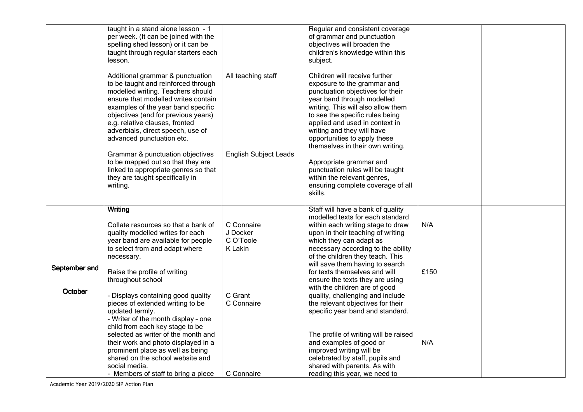|                          | taught in a stand alone lesson - 1<br>per week. (It can be joined with the<br>spelling shed lesson) or it can be<br>taught through regular starters each<br>lesson.<br>Additional grammar & punctuation<br>to be taught and reinforced through<br>modelled writing. Teachers should<br>ensure that modelled writes contain<br>examples of the year band specific<br>objectives (and for previous years)<br>e.g. relative clauses, fronted<br>adverbials, direct speech, use of<br>advanced punctuation etc.<br>Grammar & punctuation objectives<br>to be mapped out so that they are<br>linked to appropriate genres so that<br>they are taught specifically in<br>writing. | All teaching staff<br><b>English Subject Leads</b>                                    | Regular and consistent coverage<br>of grammar and punctuation<br>objectives will broaden the<br>children's knowledge within this<br>subject.<br>Children will receive further<br>exposure to the grammar and<br>punctuation objectives for their<br>year band through modelled<br>writing. This will also allow them<br>to see the specific rules being<br>applied and used in context in<br>writing and they will have<br>opportunities to apply these<br>themselves in their own writing.<br>Appropriate grammar and<br>punctuation rules will be taught<br>within the relevant genres,<br>ensuring complete coverage of all<br>skills.                                                                     |                    |  |
|--------------------------|-----------------------------------------------------------------------------------------------------------------------------------------------------------------------------------------------------------------------------------------------------------------------------------------------------------------------------------------------------------------------------------------------------------------------------------------------------------------------------------------------------------------------------------------------------------------------------------------------------------------------------------------------------------------------------|---------------------------------------------------------------------------------------|---------------------------------------------------------------------------------------------------------------------------------------------------------------------------------------------------------------------------------------------------------------------------------------------------------------------------------------------------------------------------------------------------------------------------------------------------------------------------------------------------------------------------------------------------------------------------------------------------------------------------------------------------------------------------------------------------------------|--------------------|--|
| September and<br>October | Writing<br>Collate resources so that a bank of<br>quality modelled writes for each<br>year band are available for people<br>to select from and adapt where<br>necessary.<br>Raise the profile of writing<br>throughout school<br>- Displays containing good quality<br>pieces of extended writing to be<br>updated termly.<br>- Writer of the month display - one<br>child from each key stage to be<br>selected as writer of the month and<br>their work and photo displayed in a<br>prominent place as well as being<br>shared on the school website and<br>social media.<br>- Members of staff to bring a piece                                                          | C Connaire<br>J Docker<br>C O'Toole<br>K Lakin<br>C Grant<br>C Connaire<br>C Connaire | Staff will have a bank of quality<br>modelled texts for each standard<br>within each writing stage to draw<br>upon in their teaching of writing<br>which they can adapt as<br>necessary according to the ability<br>of the children they teach. This<br>will save them having to search<br>for texts themselves and will<br>ensure the texts they are using<br>with the children are of good<br>quality, challenging and include<br>the relevant objectives for their<br>specific year band and standard.<br>The profile of writing will be raised<br>and examples of good or<br>improved writing will be<br>celebrated by staff, pupils and<br>shared with parents. As with<br>reading this year, we need to | N/A<br>£150<br>N/A |  |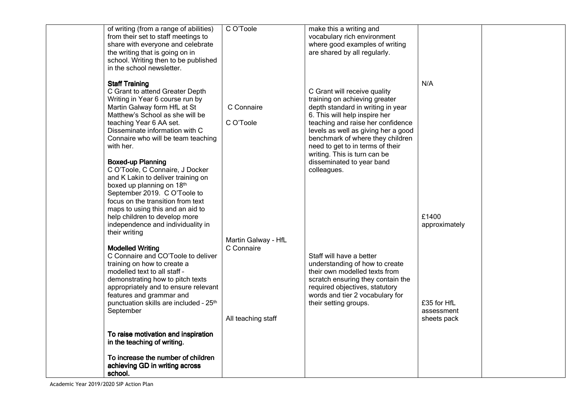| of writing (from a range of abilities)<br>from their set to staff meetings to<br>share with everyone and celebrate | C O'Toole           | make this a writing and<br>vocabulary rich environment<br>where good examples of writing |                           |  |
|--------------------------------------------------------------------------------------------------------------------|---------------------|------------------------------------------------------------------------------------------|---------------------------|--|
| the writing that is going on in<br>school. Writing then to be published                                            |                     | are shared by all regularly.                                                             |                           |  |
| in the school newsletter.                                                                                          |                     |                                                                                          |                           |  |
| <b>Staff Training</b>                                                                                              |                     |                                                                                          | N/A                       |  |
| C Grant to attend Greater Depth<br>Writing in Year 6 course run by                                                 |                     | C Grant will receive quality<br>training on achieving greater                            |                           |  |
| Martin Galway form HfL at St<br>Matthew's School as she will be                                                    | C Connaire          | depth standard in writing in year<br>6. This will help inspire her                       |                           |  |
| teaching Year 6 AA set.<br>Disseminate information with C                                                          | C O'Toole           | teaching and raise her confidence<br>levels as well as giving her a good                 |                           |  |
| Connaire who will be team teaching                                                                                 |                     | benchmark of where they children                                                         |                           |  |
| with her.                                                                                                          |                     | need to get to in terms of their<br>writing. This is turn can be                         |                           |  |
| <b>Boxed-up Planning</b><br>C O'Toole, C Connaire, J Docker                                                        |                     | disseminated to year band<br>colleagues.                                                 |                           |  |
| and K Lakin to deliver training on<br>boxed up planning on 18th                                                    |                     |                                                                                          |                           |  |
| September 2019. C O'Toole to<br>focus on the transition from text                                                  |                     |                                                                                          |                           |  |
| maps to using this and an aid to                                                                                   |                     |                                                                                          |                           |  |
| help children to develop more<br>independence and individuality in                                                 |                     |                                                                                          | £1400<br>approximately    |  |
| their writing                                                                                                      | Martin Galway - HfL |                                                                                          |                           |  |
| <b>Modelled Writing</b><br>C Connaire and CO'Toole to deliver                                                      | C Connaire          | Staff will have a better                                                                 |                           |  |
| training on how to create a<br>modelled text to all staff -                                                        |                     | understanding of how to create<br>their own modelled texts from                          |                           |  |
| demonstrating how to pitch texts                                                                                   |                     | scratch ensuring they contain the                                                        |                           |  |
| appropriately and to ensure relevant<br>features and grammar and                                                   |                     | required objectives, statutory<br>words and tier 2 vocabulary for                        |                           |  |
| punctuation skills are included - 25 <sup>th</sup><br>September                                                    |                     | their setting groups.                                                                    | £35 for HfL<br>assessment |  |
|                                                                                                                    | All teaching staff  |                                                                                          | sheets pack               |  |
| To raise motivation and inspiration<br>in the teaching of writing.                                                 |                     |                                                                                          |                           |  |
| To increase the number of children                                                                                 |                     |                                                                                          |                           |  |
| achieving GD in writing across                                                                                     |                     |                                                                                          |                           |  |
| school.                                                                                                            |                     |                                                                                          |                           |  |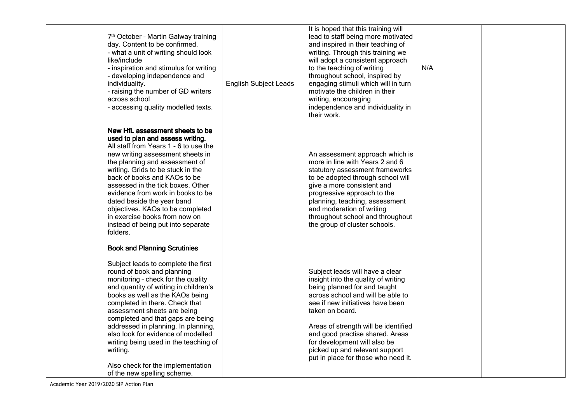| 7th October - Martin Galway training<br>day. Content to be confirmed.<br>- what a unit of writing should look<br>like/include<br>- inspiration and stimulus for writing<br>- developing independence and<br>individuality.<br>- raising the number of GD writers<br>across school<br>- accessing quality modelled texts.                                                                                                                                                                                                               | <b>English Subject Leads</b> | It is hoped that this training will<br>lead to staff being more motivated<br>and inspired in their teaching of<br>writing. Through this training we<br>will adopt a consistent approach<br>to the teaching of writing<br>throughout school, inspired by<br>engaging stimuli which will in turn<br>motivate the children in their<br>writing, encouraging<br>independence and individuality in<br>their work. | N/A |  |
|----------------------------------------------------------------------------------------------------------------------------------------------------------------------------------------------------------------------------------------------------------------------------------------------------------------------------------------------------------------------------------------------------------------------------------------------------------------------------------------------------------------------------------------|------------------------------|--------------------------------------------------------------------------------------------------------------------------------------------------------------------------------------------------------------------------------------------------------------------------------------------------------------------------------------------------------------------------------------------------------------|-----|--|
| New HfL assessment sheets to be<br>used to plan and assess writing.<br>All staff from Years 1 - 6 to use the<br>new writing assessment sheets in<br>the planning and assessment of<br>writing. Grids to be stuck in the<br>back of books and KAOs to be<br>assessed in the tick boxes. Other<br>evidence from work in books to be<br>dated beside the year band<br>objectives. KAOs to be completed<br>in exercise books from now on<br>instead of being put into separate<br>folders.                                                 |                              | An assessment approach which is<br>more in line with Years 2 and 6<br>statutory assessment frameworks<br>to be adopted through school will<br>give a more consistent and<br>progressive approach to the<br>planning, teaching, assessment<br>and moderation of writing<br>throughout school and throughout<br>the group of cluster schools.                                                                  |     |  |
| <b>Book and Planning Scrutinies</b><br>Subject leads to complete the first<br>round of book and planning<br>monitoring - check for the quality<br>and quantity of writing in children's<br>books as well as the KAOs being<br>completed in there. Check that<br>assessment sheets are being<br>completed and that gaps are being<br>addressed in planning. In planning,<br>also look for evidence of modelled<br>writing being used in the teaching of<br>writing.<br>Also check for the implementation<br>of the new spelling scheme. |                              | Subject leads will have a clear<br>insight into the quality of writing<br>being planned for and taught<br>across school and will be able to<br>see if new initiatives have been<br>taken on board.<br>Areas of strength will be identified<br>and good practise shared. Areas<br>for development will also be<br>picked up and relevant support<br>put in place for those who need it.                       |     |  |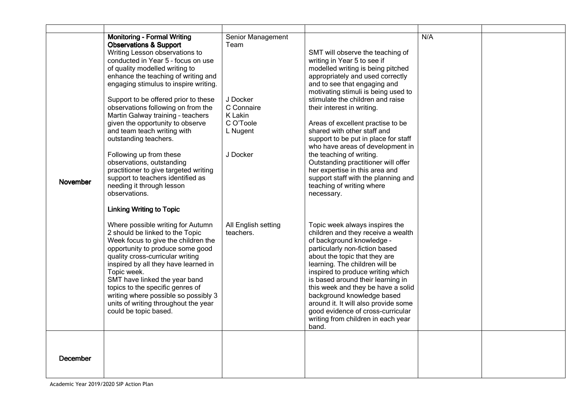|                 | <b>Monitoring - Formal Writing</b>    | Senior Management   |                                      | N/A |  |
|-----------------|---------------------------------------|---------------------|--------------------------------------|-----|--|
|                 | <b>Observations &amp; Support</b>     | Team                |                                      |     |  |
|                 | Writing Lesson observations to        |                     | SMT will observe the teaching of     |     |  |
|                 | conducted in Year 5 - focus on use    |                     | writing in Year 5 to see if          |     |  |
|                 | of quality modelled writing to        |                     | modelled writing is being pitched    |     |  |
|                 |                                       |                     |                                      |     |  |
|                 | enhance the teaching of writing and   |                     | appropriately and used correctly     |     |  |
|                 | engaging stimulus to inspire writing. |                     | and to see that engaging and         |     |  |
|                 |                                       |                     | motivating stimuli is being used to  |     |  |
|                 | Support to be offered prior to these  | J Docker            | stimulate the children and raise     |     |  |
|                 | observations following on from the    | C Connaire          | their interest in writing.           |     |  |
|                 | Martin Galway training - teachers     | K Lakin             |                                      |     |  |
|                 | given the opportunity to observe      | C O'Toole           | Areas of excellent practise to be    |     |  |
|                 |                                       |                     | shared with other staff and          |     |  |
|                 | and team teach writing with           | L Nugent            |                                      |     |  |
|                 | outstanding teachers.                 |                     | support to be put in place for staff |     |  |
|                 |                                       |                     | who have areas of development in     |     |  |
|                 | Following up from these               | J Docker            | the teaching of writing.             |     |  |
|                 | observations, outstanding             |                     | Outstanding practitioner will offer  |     |  |
|                 | practitioner to give targeted writing |                     | her expertise in this area and       |     |  |
|                 | support to teachers identified as     |                     | support staff with the planning and  |     |  |
| <b>November</b> | needing it through lesson             |                     | teaching of writing where            |     |  |
|                 |                                       |                     |                                      |     |  |
|                 | observations.                         |                     | necessary.                           |     |  |
|                 | <b>Linking Writing to Topic</b>       |                     |                                      |     |  |
|                 | Where possible writing for Autumn     | All English setting | Topic week always inspires the       |     |  |
|                 | 2 should be linked to the Topic       | teachers.           | children and they receive a wealth   |     |  |
|                 | Week focus to give the children the   |                     | of background knowledge -            |     |  |
|                 |                                       |                     |                                      |     |  |
|                 | opportunity to produce some good      |                     | particularly non-fiction based       |     |  |
|                 | quality cross-curricular writing      |                     | about the topic that they are        |     |  |
|                 | inspired by all they have learned in  |                     | learning. The children will be       |     |  |
|                 | Topic week.                           |                     | inspired to produce writing which    |     |  |
|                 | SMT have linked the year band         |                     | is based around their learning in    |     |  |
|                 | topics to the specific genres of      |                     | this week and they be have a solid   |     |  |
|                 | writing where possible so possibly 3  |                     | background knowledge based           |     |  |
|                 | units of writing throughout the year  |                     | around it. It will also provide some |     |  |
|                 | could be topic based.                 |                     | good evidence of cross-curricular    |     |  |
|                 |                                       |                     |                                      |     |  |
|                 |                                       |                     | writing from children in each year   |     |  |
|                 |                                       |                     | band.                                |     |  |
|                 |                                       |                     |                                      |     |  |
|                 |                                       |                     |                                      |     |  |
|                 |                                       |                     |                                      |     |  |
| December        |                                       |                     |                                      |     |  |
|                 |                                       |                     |                                      |     |  |
|                 |                                       |                     |                                      |     |  |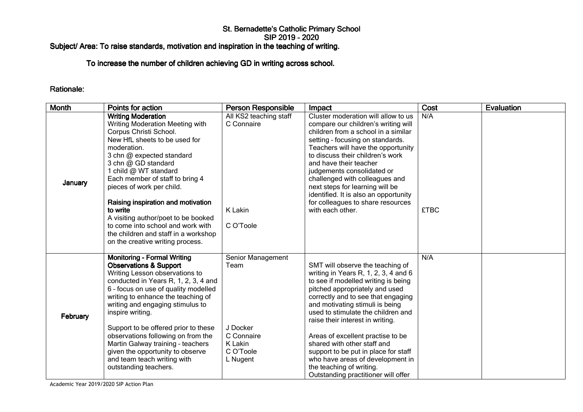# St. Bernadette's Catholic Primary School<br>SIP 2019 - 2020

### Subject/ Area: To raise standards, motivation and inspiration in the teaching of writing.

## To increase the number of children achieving GD in writing across school.

#### Rationale:

| <b>Month</b> | Points for action                                                                                                                                                                                                                                                                                                                                                                                                                                                                                      | <b>Person Responsible</b>                                                               | Impact                                                                                                                                                                                                                                                                                                                                                                                                                                                                                                                  | Cost               | Evaluation |
|--------------|--------------------------------------------------------------------------------------------------------------------------------------------------------------------------------------------------------------------------------------------------------------------------------------------------------------------------------------------------------------------------------------------------------------------------------------------------------------------------------------------------------|-----------------------------------------------------------------------------------------|-------------------------------------------------------------------------------------------------------------------------------------------------------------------------------------------------------------------------------------------------------------------------------------------------------------------------------------------------------------------------------------------------------------------------------------------------------------------------------------------------------------------------|--------------------|------------|
| January      | <b>Writing Moderation</b><br>Writing Moderation Meeting with<br>Corpus Christi School.<br>New HfL sheets to be used for<br>moderation.<br>3 chn @ expected standard<br>3 chn @ GD standard<br>1 child @ WT standard<br>Each member of staff to bring 4<br>pieces of work per child.<br>Raising inspiration and motivation<br>to write<br>A visiting author/poet to be booked<br>to come into school and work with<br>the children and staff in a workshop<br>on the creative writing process.          | All KS2 teaching staff<br>C Connaire<br>K Lakin<br>C O'Toole                            | Cluster moderation will allow to us<br>compare our children's writing will<br>children from a school in a similar<br>setting - focusing on standards.<br>Teachers will have the opportunity<br>to discuss their children's work<br>and have their teacher<br>judgements consolidated or<br>challenged with colleagues and<br>next steps for learning will be<br>identified. It is also an opportunity<br>for colleagues to share resources<br>with each other.                                                          | N/A<br><b>£TBC</b> |            |
| February     | <b>Monitoring - Formal Writing</b><br><b>Observations &amp; Support</b><br>Writing Lesson observations to<br>conducted in Years R, 1, 2, 3, 4 and<br>6 - focus on use of quality modelled<br>writing to enhance the teaching of<br>writing and engaging stimulus to<br>inspire writing.<br>Support to be offered prior to these<br>observations following on from the<br>Martin Galway training - teachers<br>given the opportunity to observe<br>and team teach writing with<br>outstanding teachers. | Senior Management<br>Team<br>J Docker<br>C Connaire<br>K Lakin<br>C O'Toole<br>L Nugent | SMT will observe the teaching of<br>writing in Years R, 1, 2, 3, 4 and 6<br>to see if modelled writing is being<br>pitched appropriately and used<br>correctly and to see that engaging<br>and motivating stimuli is being<br>used to stimulate the children and<br>raise their interest in writing.<br>Areas of excellent practise to be<br>shared with other staff and<br>support to be put in place for staff<br>who have areas of development in<br>the teaching of writing.<br>Outstanding practitioner will offer | N/A                |            |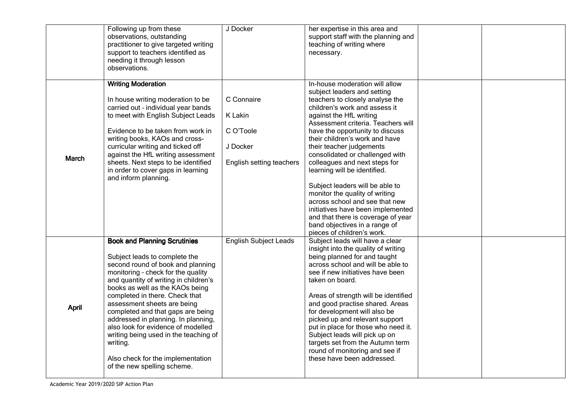|              | Following up from these<br>observations, outstanding<br>practitioner to give targeted writing<br>support to teachers identified as<br>needing it through lesson<br>observations.                                                                                                                                                                                                                                                                                                                                                        | J Docker                                                                   | her expertise in this area and<br>support staff with the planning and<br>teaching of writing where<br>necessary.                                                                                                                                                                                                                                                                                                                                                                                                                                                                                                                                                      |  |
|--------------|-----------------------------------------------------------------------------------------------------------------------------------------------------------------------------------------------------------------------------------------------------------------------------------------------------------------------------------------------------------------------------------------------------------------------------------------------------------------------------------------------------------------------------------------|----------------------------------------------------------------------------|-----------------------------------------------------------------------------------------------------------------------------------------------------------------------------------------------------------------------------------------------------------------------------------------------------------------------------------------------------------------------------------------------------------------------------------------------------------------------------------------------------------------------------------------------------------------------------------------------------------------------------------------------------------------------|--|
| March        | <b>Writing Moderation</b><br>In house writing moderation to be<br>carried out - individual year bands<br>to meet with English Subject Leads<br>Evidence to be taken from work in<br>writing books, KAOs and cross-<br>curricular writing and ticked off<br>against the HfL writing assessment<br>sheets. Next steps to be identified<br>in order to cover gaps in learning<br>and inform planning.                                                                                                                                      | C Connaire<br>K Lakin<br>C O'Toole<br>J Docker<br>English setting teachers | In-house moderation will allow<br>subject leaders and setting<br>teachers to closely analyse the<br>children's work and assess it<br>against the HfL writing<br>Assessment criteria. Teachers will<br>have the opportunity to discuss<br>their children's work and have<br>their teacher judgements<br>consolidated or challenged with<br>colleagues and next steps for<br>learning will be identified.<br>Subject leaders will be able to<br>monitor the quality of writing<br>across school and see that new                                                                                                                                                        |  |
| <b>April</b> | <b>Book and Planning Scrutinies</b><br>Subject leads to complete the<br>second round of book and planning<br>monitoring - check for the quality<br>and quantity of writing in children's<br>books as well as the KAOs being<br>completed in there. Check that<br>assessment sheets are being<br>completed and that gaps are being<br>addressed in planning. In planning,<br>also look for evidence of modelled<br>writing being used in the teaching of<br>writing.<br>Also check for the implementation<br>of the new spelling scheme. | <b>English Subject Leads</b>                                               | initiatives have been implemented<br>and that there is coverage of year<br>band objectives in a range of<br>pieces of children's work.<br>Subject leads will have a clear<br>insight into the quality of writing<br>being planned for and taught<br>across school and will be able to<br>see if new initiatives have been<br>taken on board.<br>Areas of strength will be identified<br>and good practise shared. Areas<br>for development will also be<br>picked up and relevant support<br>put in place for those who need it.<br>Subject leads will pick up on<br>targets set from the Autumn term<br>round of monitoring and see if<br>these have been addressed. |  |